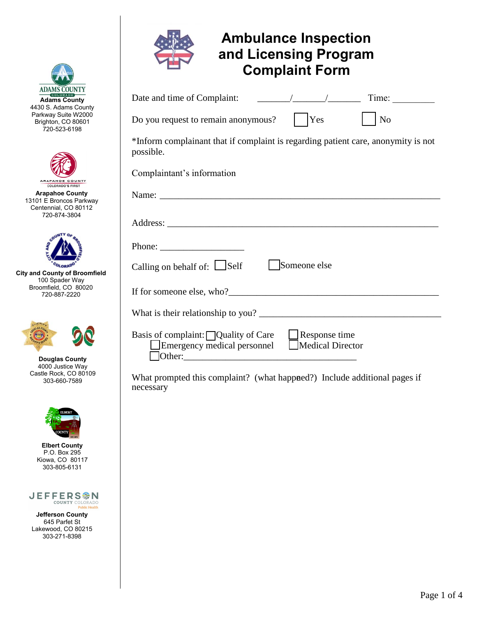



**Jefferson County**  645 Parfet St Lakewood, CO 80215 303-271-8398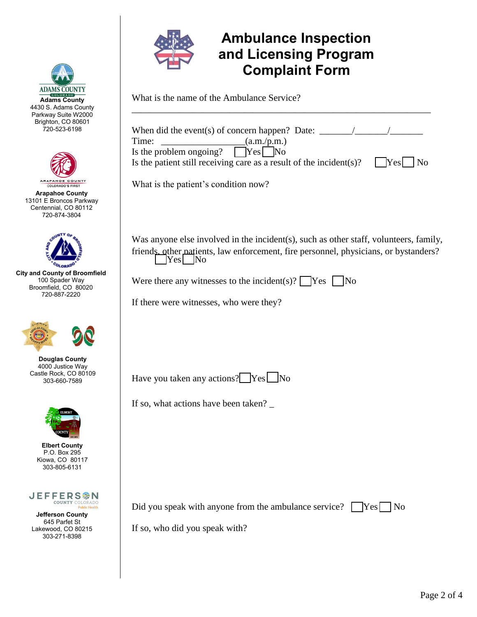



**Arapahoe County**  13101 E Broncos Parkway Centennial, CO 80112 720-874-3804



**City and County of Broomfield**  100 Spader Way Broomfield, CO 80020 720-887-2220



**Douglas County**  4000 Justice Way Castle Rock, CO 80109 303-660-7589



**Elbert County**  P.O. Box 295 Kiowa, CO 80117 303-805-6131



**Jefferson County**  645 Parfet St Lakewood, CO 80215 303-271-8398



## **Ambulance Inspection and Licensing Program Complaint Form**

What is the name of the Ambulance Service?

| When did the event(s) of concern happen? Date: $\frac{ }{ }$<br>(a.m./p.m.)<br>Time:                                                                                                     |
|------------------------------------------------------------------------------------------------------------------------------------------------------------------------------------------|
| Is the problem ongoing?<br>$\vert$ Yes $\vert$ No                                                                                                                                        |
| Is the patient still receiving care as a result of the incident $(s)$ ?<br>$ $ Yes<br>$\log$                                                                                             |
| What is the patient's condition now?                                                                                                                                                     |
| Was anyone else involved in the incident(s), such as other staff, volunteers, family,<br>friends other patients, law enforcement, fire personnel, physicians, or bystanders?<br>$Yes$ No |
| Were there any witnesses to the incident(s)? $\bigcap$ Yes $\bigcup$ No                                                                                                                  |
| If there were witnesses, who were they?                                                                                                                                                  |
|                                                                                                                                                                                          |
|                                                                                                                                                                                          |
|                                                                                                                                                                                          |
| Have you taken any actions? Yes No                                                                                                                                                       |
| If so, what actions have been taken?                                                                                                                                                     |
|                                                                                                                                                                                          |
|                                                                                                                                                                                          |
|                                                                                                                                                                                          |
|                                                                                                                                                                                          |
| Did you speak with anyone from the ambulance service?<br>$\left  \mathrm{Yes} \right $<br>N <sub>0</sub>                                                                                 |

If so, who did you speak with?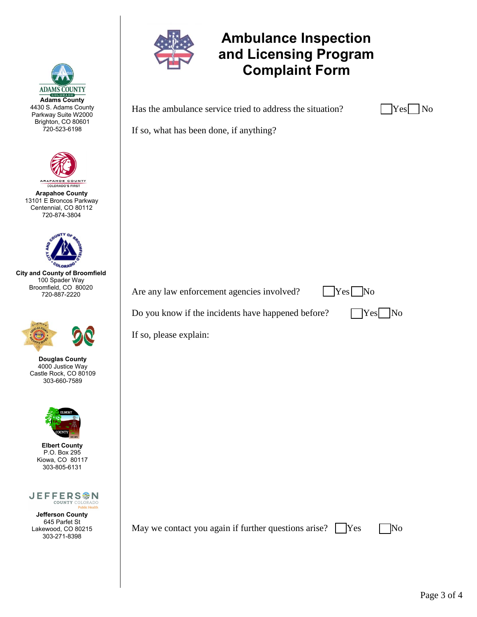

**Adams County**  4430 S. Adams County Parkway Suite W2000 Brighton, CO 80601 720-523-6198

**ADAMS COUNTY** 

**Arapahoe County**  13101 E Broncos Parkway Centennial, CO 80112 720-874-3804

ARAPAHOE COUNTY **COLORADO'S FIRST** 

**City and County of Broomfield**  100 Spader Way Broomfield, CO 80020 720-887-2220

> **Douglas County**  4000 Justice Way Castle Rock, CO 80109 303-660-7589

> > **Elbert County**  P.O. Box 295 Kiowa, CO 80117 303-805-6131

Lakewood, CO 80215 303-271-8398

**JEFFERS<sup>@</sup>N COUNTY COLORADO Public Health** 

## **Ambulance Inspection and Licensing Program Complaint Form**

Has the ambulance service tried to address the situation?

| ÷ |  |
|---|--|
|   |  |

If so, what has been done, if anything?

Are any law enforcement agencies involved?  $|$   $|$  Yes  $|$  No

Do you know if the incidents have happened before?  $\Box$  Yes  $\Box$  No



If so, please explain:

**Jefferson County**  645 Parfet St

May we contact you again if further questions arise?  $\Box$  Yes  $\Box$  No